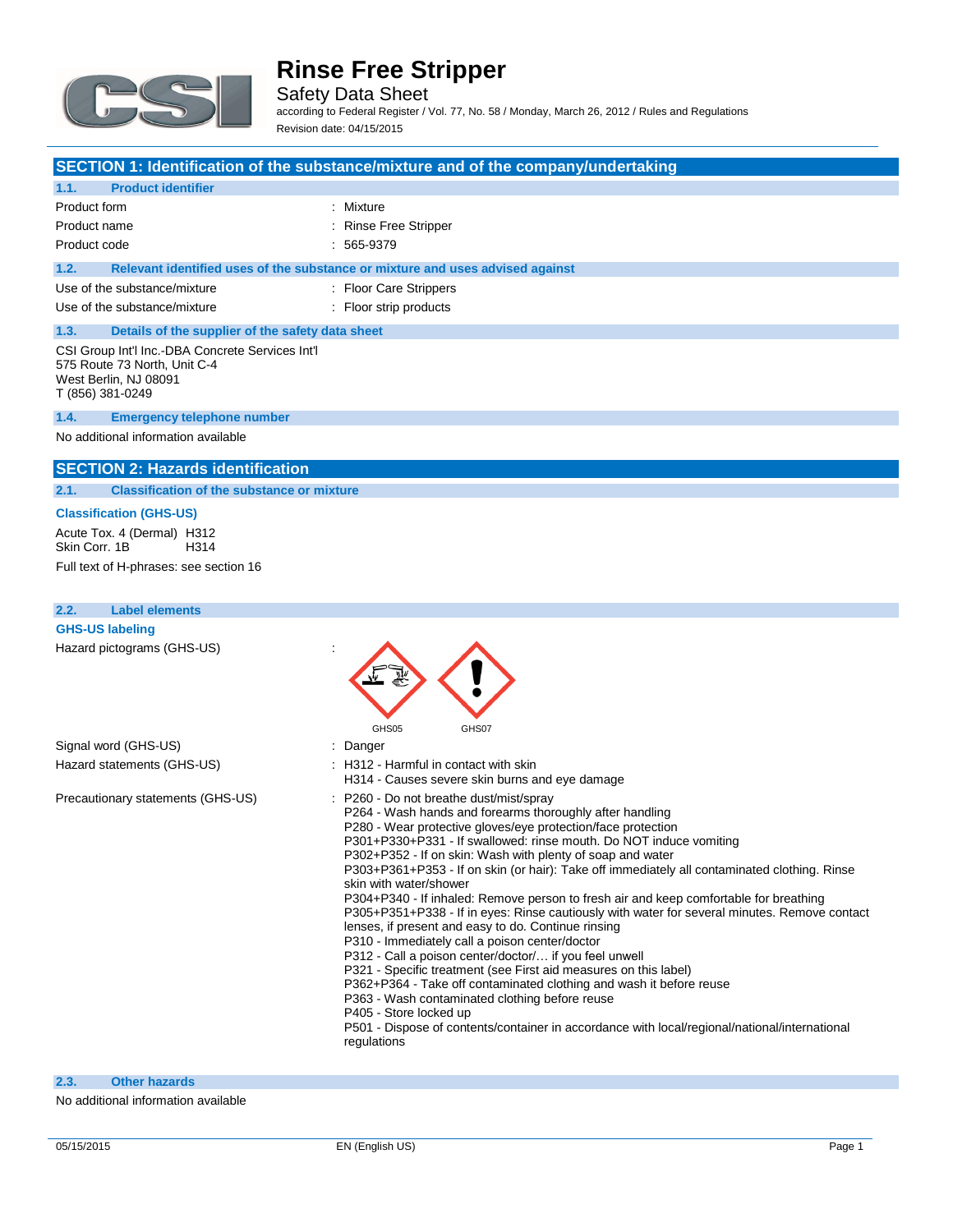

Safety Data Sheet according to Federal Register / Vol. 77, No. 58 / Monday, March 26, 2012 / Rules and Regulations Revision date: 04/15/2015

### **SECTION 1: Identification of the substance/mixture and of the company/undertaking**

### **1.1. Product identifier**

| Product form                                                                                                                                                                                                                   | : Mixture                                                                     |
|--------------------------------------------------------------------------------------------------------------------------------------------------------------------------------------------------------------------------------|-------------------------------------------------------------------------------|
| Product name                                                                                                                                                                                                                   | : Rinse Free Stripper                                                         |
| Product code                                                                                                                                                                                                                   | $: 565-9379$                                                                  |
| 1.2.                                                                                                                                                                                                                           | Relevant identified uses of the substance or mixture and uses advised against |
| Use of the substance/mixture                                                                                                                                                                                                   | : Floor Care Strippers                                                        |
| Use of the substance/mixture                                                                                                                                                                                                   | : Floor strip products                                                        |
| Program the contribution of the contribution of the boundary of the contribution of the contribution of the contribution of the contribution of the contribution of the contribution of the contribution of the contribution o |                                                                               |

### **1.3. Details of the supplier of the safety data sheet** CSI Group Int'l Inc.-DBA Concrete Services Int'l 575 Route 73 North, Unit C-4

West Berlin, NJ 08091 T (856) 381-0249

### **1.4. Emergency telephone number**

No additional information available

### **SECTION 2: Hazards identification**

### **2.1. Classification of the substance or mixture**

### **Classification (GHS-US)**

Acute Tox. 4 (Dermal) H312<br>Skin Corr. 1B H314 Skin Corr. 1B Full text of H-phrases: see section 16

| <b>Label elements</b><br>2.2.     |                                                                                                                                                                                                                                                                                                                                                                                                                                                                                                                                                                                                                                                                                                                                                                                                                                                                                                                                                                                                                                                                                                                                      |
|-----------------------------------|--------------------------------------------------------------------------------------------------------------------------------------------------------------------------------------------------------------------------------------------------------------------------------------------------------------------------------------------------------------------------------------------------------------------------------------------------------------------------------------------------------------------------------------------------------------------------------------------------------------------------------------------------------------------------------------------------------------------------------------------------------------------------------------------------------------------------------------------------------------------------------------------------------------------------------------------------------------------------------------------------------------------------------------------------------------------------------------------------------------------------------------|
| <b>GHS-US labeling</b>            |                                                                                                                                                                                                                                                                                                                                                                                                                                                                                                                                                                                                                                                                                                                                                                                                                                                                                                                                                                                                                                                                                                                                      |
| Hazard pictograms (GHS-US)        | GHS05<br>GHS07                                                                                                                                                                                                                                                                                                                                                                                                                                                                                                                                                                                                                                                                                                                                                                                                                                                                                                                                                                                                                                                                                                                       |
| Signal word (GHS-US)              | : Danger                                                                                                                                                                                                                                                                                                                                                                                                                                                                                                                                                                                                                                                                                                                                                                                                                                                                                                                                                                                                                                                                                                                             |
| Hazard statements (GHS-US)        | : H312 - Harmful in contact with skin<br>H314 - Causes severe skin burns and eye damage                                                                                                                                                                                                                                                                                                                                                                                                                                                                                                                                                                                                                                                                                                                                                                                                                                                                                                                                                                                                                                              |
| Precautionary statements (GHS-US) | : P260 - Do not breathe dust/mist/spray<br>P264 - Wash hands and forearms thoroughly after handling<br>P280 - Wear protective gloves/eye protection/face protection<br>P301+P330+P331 - If swallowed: rinse mouth. Do NOT induce vomiting<br>P302+P352 - If on skin: Wash with plenty of soap and water<br>P303+P361+P353 - If on skin (or hair): Take off immediately all contaminated clothing. Rinse<br>skin with water/shower<br>P304+P340 - If inhaled: Remove person to fresh air and keep comfortable for breathing<br>P305+P351+P338 - If in eyes: Rinse cautiously with water for several minutes. Remove contact<br>lenses, if present and easy to do. Continue rinsing<br>P310 - Immediately call a poison center/doctor<br>P312 - Call a poison center/doctor/ if you feel unwell<br>P321 - Specific treatment (see First aid measures on this label)<br>P362+P364 - Take off contaminated clothing and wash it before reuse<br>P363 - Wash contaminated clothing before reuse<br>P405 - Store locked up<br>P501 - Dispose of contents/container in accordance with local/regional/national/international<br>regulations |

### **2.3. Other hazards**

No additional information available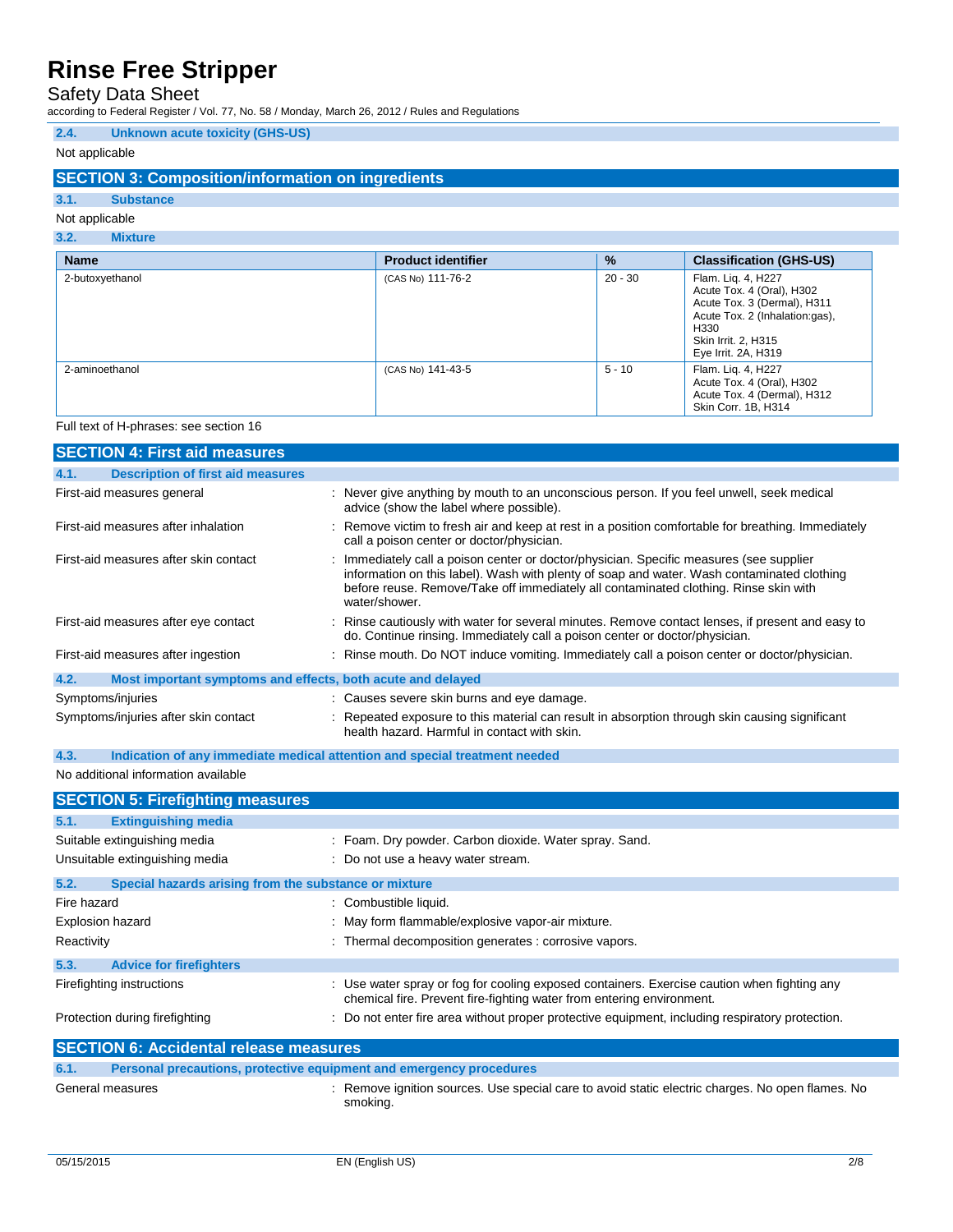Safety Data Sheet

according to Federal Register / Vol. 77, No. 58 / Monday, March 26, 2012 / Rules and Regulations

### **2.4. Unknown acute toxicity (GHS-US)**

### Not applicable

### **SECTION 3: Composition/information on ingredients**

### **3.1. Substance**

### Not applicable **3.2. Mixture**

| <b>Name</b>     | <b>Product identifier</b> | $\frac{9}{6}$ | <b>Classification (GHS-US)</b>                                                                                                                                         |
|-----------------|---------------------------|---------------|------------------------------------------------------------------------------------------------------------------------------------------------------------------------|
| 2-butoxyethanol | (CAS No) 111-76-2         | $20 - 30$     | Flam. Liq. 4, H227<br>Acute Tox. 4 (Oral), H302<br>Acute Tox. 3 (Dermal), H311<br>Acute Tox. 2 (Inhalation:gas),<br>H330<br>Skin Irrit. 2, H315<br>Eye Irrit. 2A, H319 |
| 2-aminoethanol  | (CAS No) 141-43-5         | $5 - 10$      | Flam. Liq. 4, H227<br>Acute Tox. 4 (Oral), H302<br>Acute Tox. 4 (Dermal), H312<br>Skin Corr. 1B, H314                                                                  |

Full text of H-phrases: see section 16

| <b>SECTION 4: First aid measures</b>                                |                                                                                                                                                                                                                                                                                                |  |  |
|---------------------------------------------------------------------|------------------------------------------------------------------------------------------------------------------------------------------------------------------------------------------------------------------------------------------------------------------------------------------------|--|--|
| 4.1.<br><b>Description of first aid measures</b>                    |                                                                                                                                                                                                                                                                                                |  |  |
| First-aid measures general                                          | : Never give anything by mouth to an unconscious person. If you feel unwell, seek medical<br>advice (show the label where possible).                                                                                                                                                           |  |  |
| First-aid measures after inhalation                                 | : Remove victim to fresh air and keep at rest in a position comfortable for breathing. Immediately<br>call a poison center or doctor/physician.                                                                                                                                                |  |  |
| First-aid measures after skin contact                               | : Immediately call a poison center or doctor/physician. Specific measures (see supplier<br>information on this label). Wash with plenty of soap and water. Wash contaminated clothing<br>before reuse. Remove/Take off immediately all contaminated clothing. Rinse skin with<br>water/shower. |  |  |
| First-aid measures after eye contact                                | : Rinse cautiously with water for several minutes. Remove contact lenses, if present and easy to<br>do. Continue rinsing. Immediately call a poison center or doctor/physician.                                                                                                                |  |  |
| First-aid measures after ingestion                                  | : Rinse mouth. Do NOT induce vomiting. Immediately call a poison center or doctor/physician.                                                                                                                                                                                                   |  |  |
| 4.2.<br>Most important symptoms and effects, both acute and delayed |                                                                                                                                                                                                                                                                                                |  |  |
| Symptoms/injuries                                                   | : Causes severe skin burns and eye damage.                                                                                                                                                                                                                                                     |  |  |
| Symptoms/injuries after skin contact                                | : Repeated exposure to this material can result in absorption through skin causing significant<br>health hazard. Harmful in contact with skin.                                                                                                                                                 |  |  |

### **4.3. Indication of any immediate medical attention and special treatment needed**

### No additional information available

| <b>SECTION 5: Firefighting measures</b>                       |                                                                                                                                                                      |
|---------------------------------------------------------------|----------------------------------------------------------------------------------------------------------------------------------------------------------------------|
| 5.1.<br><b>Extinguishing media</b>                            |                                                                                                                                                                      |
| Suitable extinguishing media                                  | : Foam. Dry powder. Carbon dioxide. Water spray. Sand.                                                                                                               |
| Unsuitable extinguishing media                                | : Do not use a heavy water stream.                                                                                                                                   |
| 5.2.<br>Special hazards arising from the substance or mixture |                                                                                                                                                                      |
| Fire hazard                                                   | : Combustible liquid.                                                                                                                                                |
| <b>Explosion hazard</b>                                       | : May form flammable/explosive vapor-air mixture.                                                                                                                    |
| Reactivity                                                    | : Thermal decomposition generates : corrosive vapors.                                                                                                                |
| 5.3.<br><b>Advice for firefighters</b>                        |                                                                                                                                                                      |
| Firefighting instructions                                     | : Use water spray or fog for cooling exposed containers. Exercise caution when fighting any<br>chemical fire. Prevent fire-fighting water from entering environment. |
| Protection during firefighting                                | : Do not enter fire area without proper protective equipment, including respiratory protection.                                                                      |
| <b>SECTION 6: Accidental release measures</b>                 |                                                                                                                                                                      |

| <b>SECTION 6: Accidental release measures</b>                               |                                                                                                            |  |
|-----------------------------------------------------------------------------|------------------------------------------------------------------------------------------------------------|--|
| 6.1.<br>Personal precautions, protective equipment and emergency procedures |                                                                                                            |  |
| General measures                                                            | Remove ignition sources. Use special care to avoid static electric charges. No open flames. No<br>smoking. |  |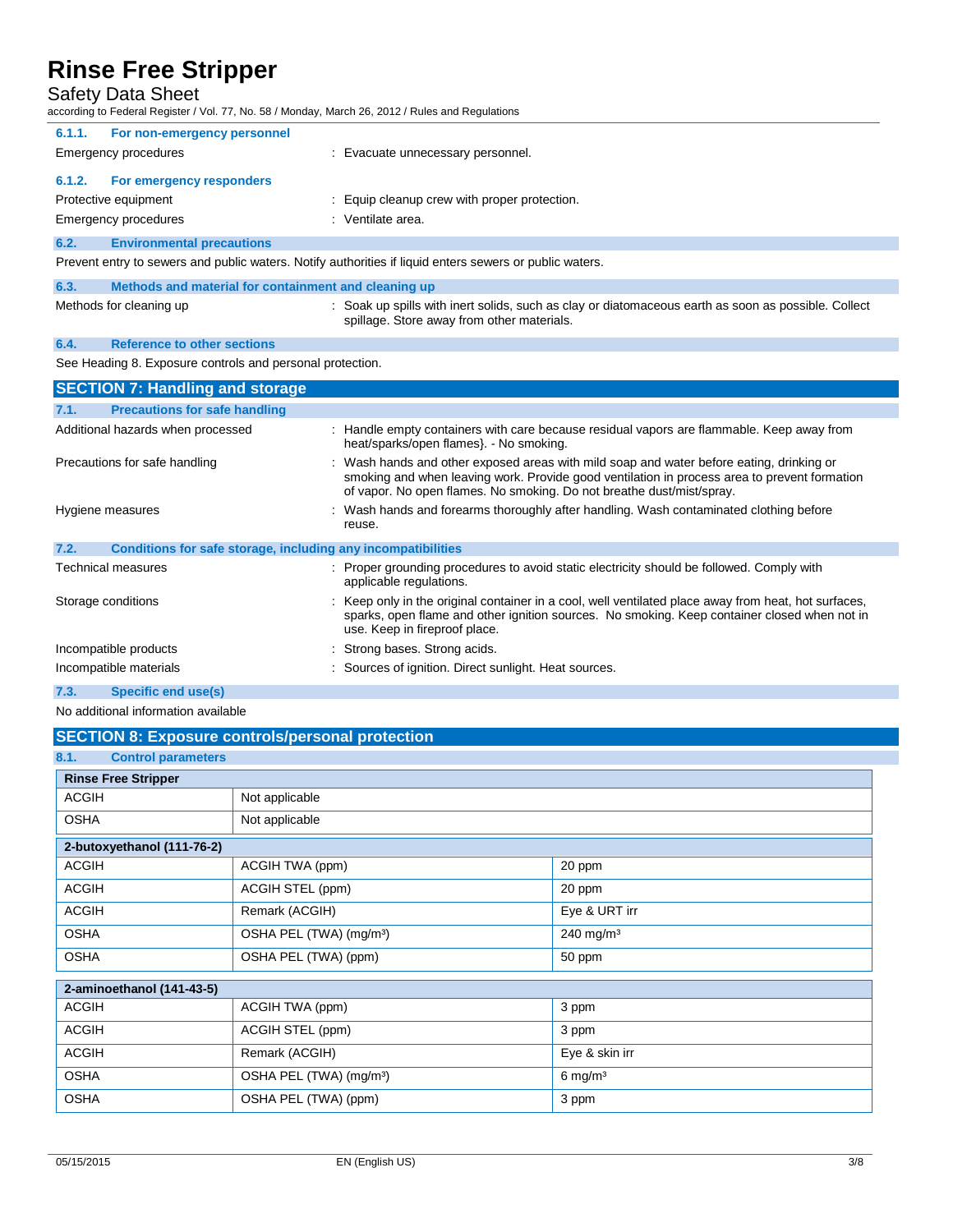### Safety Data Sheet

according to Federal Register / Vol. 77, No. 58 / Monday, March 26, 2012 / Rules and Regulations

| 6.1.1.                                                                                                  | For non-emergency personnel                          |                                                                                                     |
|---------------------------------------------------------------------------------------------------------|------------------------------------------------------|-----------------------------------------------------------------------------------------------------|
|                                                                                                         | Emergency procedures                                 | : Evacuate unnecessary personnel.                                                                   |
| 6.1.2.                                                                                                  | For emergency responders                             |                                                                                                     |
|                                                                                                         | Protective equipment                                 | : Equip cleanup crew with proper protection.                                                        |
|                                                                                                         | Emergency procedures                                 | : Ventilate area.                                                                                   |
| 6.2.                                                                                                    | <b>Environmental precautions</b>                     |                                                                                                     |
| Prevent entry to sewers and public waters. Notify authorities if liquid enters sewers or public waters. |                                                      |                                                                                                     |
| 6.3.                                                                                                    | Methods and material for containment and cleaning up |                                                                                                     |
|                                                                                                         | Methods for cleaning up                              | : Soak up spills with inert solids, such as clay or diatomaceous earth as soon as possible. Collect |

spillage. Store away from other materials.

## **6.4. Reference to other sections**

See Heading 8. Exposure controls and personal protection.

| <b>SECTION 7: Handling and storage</b>                               |                                                                                                                                                                                                                                                                   |  |
|----------------------------------------------------------------------|-------------------------------------------------------------------------------------------------------------------------------------------------------------------------------------------------------------------------------------------------------------------|--|
| <b>Precautions for safe handling</b><br>7.1.                         |                                                                                                                                                                                                                                                                   |  |
| Additional hazards when processed                                    | : Handle empty containers with care because residual vapors are flammable. Keep away from<br>heat/sparks/open flames}. - No smoking.                                                                                                                              |  |
| Precautions for safe handling                                        | : Wash hands and other exposed areas with mild soap and water before eating, drinking or<br>smoking and when leaving work. Provide good ventilation in process area to prevent formation<br>of vapor. No open flames. No smoking. Do not breathe dust/mist/spray. |  |
| Hygiene measures                                                     | : Wash hands and forearms thoroughly after handling. Wash contaminated clothing before<br>reuse.                                                                                                                                                                  |  |
| 7.2.<br>Conditions for safe storage, including any incompatibilities |                                                                                                                                                                                                                                                                   |  |
| Technical measures                                                   | : Proper grounding procedures to avoid static electricity should be followed. Comply with<br>applicable regulations.                                                                                                                                              |  |
| Storage conditions                                                   | : Keep only in the original container in a cool, well ventilated place away from heat, hot surfaces,<br>sparks, open flame and other ignition sources. No smoking. Keep container closed when not in<br>use. Keep in fireproof place.                             |  |
| Incompatible products                                                | : Strong bases. Strong acids.                                                                                                                                                                                                                                     |  |
| Incompatible materials                                               | : Sources of ignition. Direct sunlight. Heat sources.                                                                                                                                                                                                             |  |
| 7.3.<br>Specific end use(s)                                          |                                                                                                                                                                                                                                                                   |  |

No additional information available

### **SECTION 8: Exposure controls/personal protection**

| 8.1.<br><b>Control parameters</b> |                                     |                    |
|-----------------------------------|-------------------------------------|--------------------|
| <b>Rinse Free Stripper</b>        |                                     |                    |
| <b>ACGIH</b>                      | Not applicable                      |                    |
| <b>OSHA</b>                       | Not applicable                      |                    |
| 2-butoxyethanol (111-76-2)        |                                     |                    |
| <b>ACGIH</b>                      | ACGIH TWA (ppm)                     | 20 ppm             |
| <b>ACGIH</b>                      | ACGIH STEL (ppm)                    | 20 ppm             |
| <b>ACGIH</b>                      | Remark (ACGIH)                      | Eye & URT irr      |
| <b>OSHA</b>                       | OSHA PEL (TWA) (mg/m <sup>3</sup> ) | 240 mg/m $3$       |
| <b>OSHA</b>                       | OSHA PEL (TWA) (ppm)                | 50 ppm             |
| 2-aminoethanol (141-43-5)         |                                     |                    |
| <b>ACGIH</b>                      | ACGIH TWA (ppm)                     | 3 ppm              |
| <b>ACGIH</b>                      | ACGIH STEL (ppm)                    | 3 ppm              |
| <b>ACGIH</b>                      | Remark (ACGIH)                      | Eye & skin irr     |
| <b>OSHA</b>                       | OSHA PEL (TWA) (mg/m <sup>3</sup> ) | $6 \text{ mg/m}^3$ |
| <b>OSHA</b>                       | OSHA PEL (TWA) (ppm)                | 3 ppm              |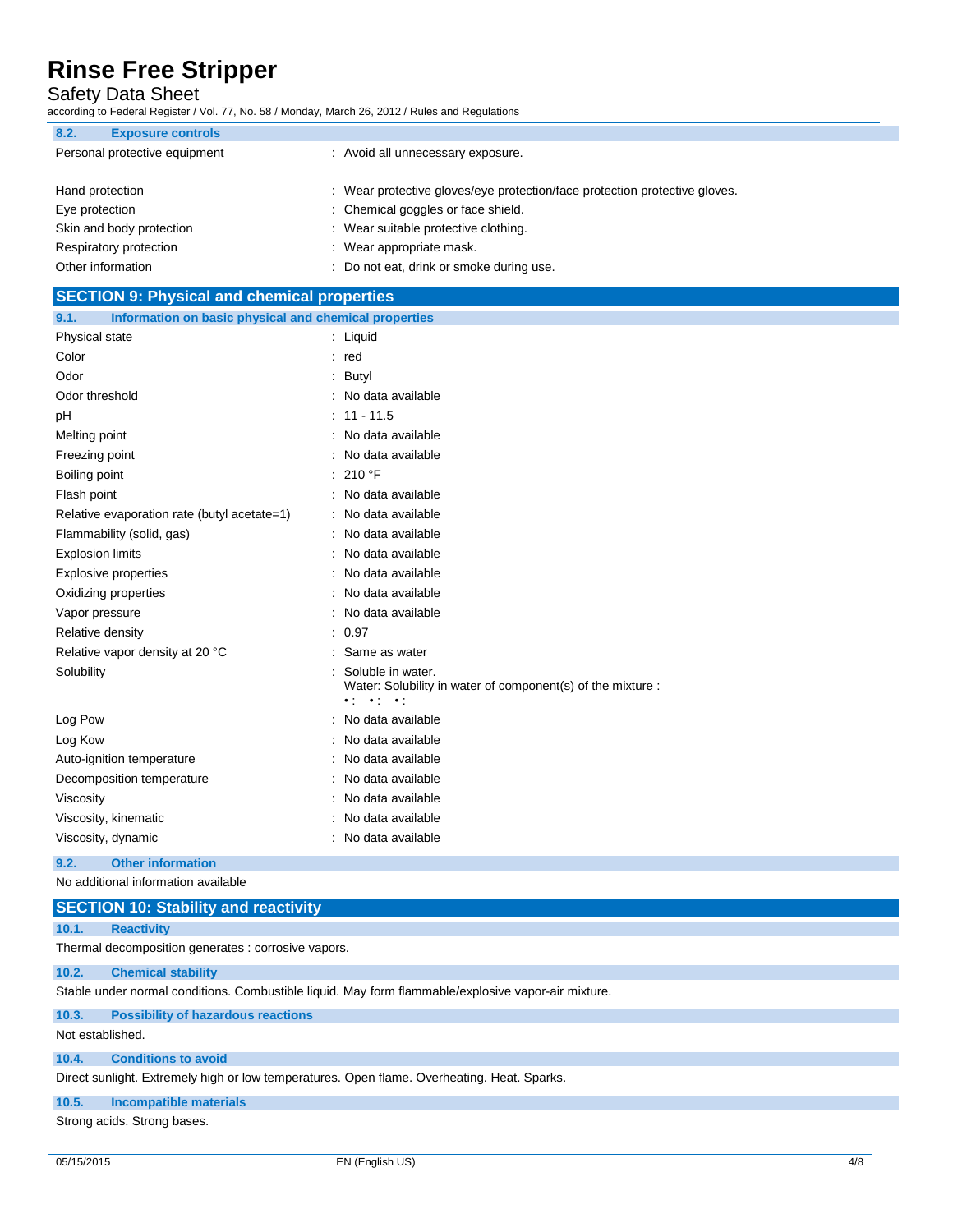Safety Data Sheet

according to Federal Register / Vol. 77, No. 58 / Monday, March 26, 2012 / Rules and Regulations

| 8.2.<br><b>Exposure controls</b> |                                                                            |
|----------------------------------|----------------------------------------------------------------------------|
| Personal protective equipment    | : Avoid all unnecessary exposure.                                          |
|                                  |                                                                            |
| Hand protection                  | : Wear protective gloves/eye protection/face protection protective gloves. |
| Eye protection                   | : Chemical goggles or face shield.                                         |
| Skin and body protection         | : Wear suitable protective clothing.                                       |
| Respiratory protection           | : Wear appropriate mask.                                                   |
| Other information                | : Do not eat, drink or smoke during use.                                   |

| <b>SECTION 9: Physical and chemical properties</b>            |                                                                                                                                      |  |
|---------------------------------------------------------------|--------------------------------------------------------------------------------------------------------------------------------------|--|
| 9.1.<br>Information on basic physical and chemical properties |                                                                                                                                      |  |
| Physical state                                                | : Liquid                                                                                                                             |  |
| Color                                                         | $:$ red                                                                                                                              |  |
| Odor                                                          | Butyl                                                                                                                                |  |
| Odor threshold                                                | No data available                                                                                                                    |  |
| pH                                                            | $11 - 11.5$                                                                                                                          |  |
| Melting point                                                 | No data available                                                                                                                    |  |
| Freezing point                                                | No data available                                                                                                                    |  |
| Boiling point                                                 | 210 °F                                                                                                                               |  |
| Flash point                                                   | No data available                                                                                                                    |  |
| Relative evaporation rate (butyl acetate=1)                   | : No data available                                                                                                                  |  |
| Flammability (solid, gas)                                     | No data available                                                                                                                    |  |
| <b>Explosion limits</b>                                       | No data available                                                                                                                    |  |
| <b>Explosive properties</b>                                   | No data available                                                                                                                    |  |
| Oxidizing properties                                          | No data available                                                                                                                    |  |
| Vapor pressure                                                | No data available                                                                                                                    |  |
| Relative density                                              | 0.97                                                                                                                                 |  |
| Relative vapor density at 20 °C                               | Same as water                                                                                                                        |  |
| Solubility                                                    | Soluble in water.<br>Water: Solubility in water of component(s) of the mixture :<br>$\bullet$ ( $\bullet$ ) $\bullet$ ( $\bullet$ ). |  |
| Log Pow                                                       | No data available                                                                                                                    |  |
| Log Kow                                                       | No data available                                                                                                                    |  |
| Auto-ignition temperature                                     | No data available                                                                                                                    |  |
| Decomposition temperature                                     | No data available                                                                                                                    |  |
| Viscosity                                                     | No data available                                                                                                                    |  |
| Viscosity, kinematic                                          | No data available                                                                                                                    |  |
| Viscosity, dynamic                                            | No data available                                                                                                                    |  |

### **9.2. Other information**

No additional information available

| <b>SECTION 10: Stability and reactivity</b>                                                         |                                                     |  |
|-----------------------------------------------------------------------------------------------------|-----------------------------------------------------|--|
| 10.1.                                                                                               | <b>Reactivity</b>                                   |  |
|                                                                                                     | Thermal decomposition generates : corrosive vapors. |  |
| 10.2.                                                                                               | <b>Chemical stability</b>                           |  |
| Stable under normal conditions. Combustible liquid. May form flammable/explosive vapor-air mixture. |                                                     |  |
| 10.3.                                                                                               | <b>Possibility of hazardous reactions</b>           |  |
| Not established.                                                                                    |                                                     |  |

### **10.4. Conditions to avoid**

Direct sunlight. Extremely high or low temperatures. Open flame. Overheating. Heat. Sparks.

### **10.5. Incompatible materials**

Strong acids. Strong bases.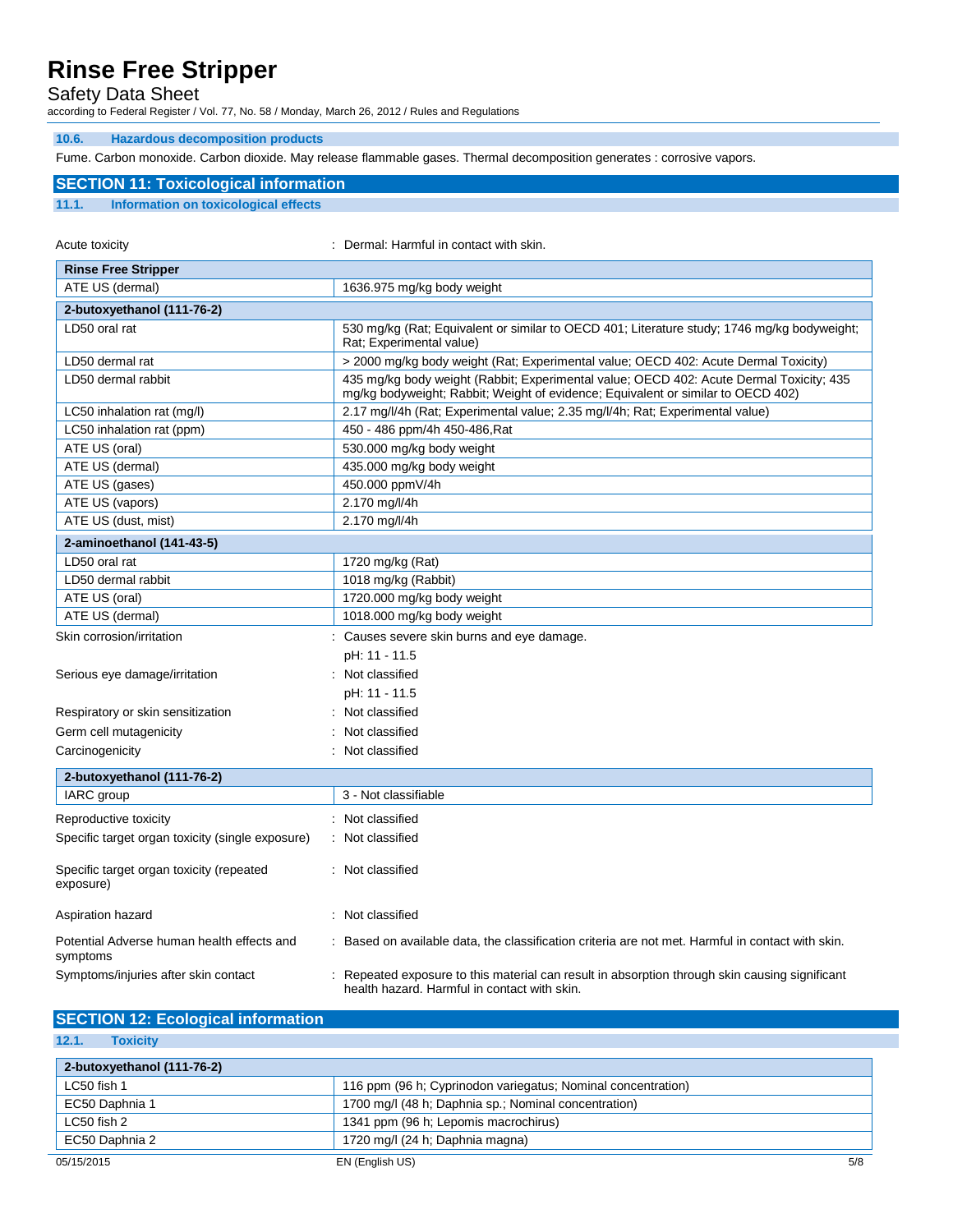Safety Data Sheet

according to Federal Register / Vol. 77, No. 58 / Monday, March 26, 2012 / Rules and Regulations

### **10.6. Hazardous decomposition products**

Fume. Carbon monoxide. Carbon dioxide. May release flammable gases. Thermal decomposition generates : corrosive vapors.

### **SECTION 11: Toxicological information**

### **11.1. Information on toxicological effects**

| Acute toxicity                                         | Dermal: Harmful in contact with skin.                                                                                                                                       |
|--------------------------------------------------------|-----------------------------------------------------------------------------------------------------------------------------------------------------------------------------|
| <b>Rinse Free Stripper</b>                             |                                                                                                                                                                             |
| ATE US (dermal)                                        | 1636.975 mg/kg body weight                                                                                                                                                  |
| 2-butoxyethanol (111-76-2)                             |                                                                                                                                                                             |
| LD50 oral rat                                          | 530 mg/kg (Rat; Equivalent or similar to OECD 401; Literature study; 1746 mg/kg bodyweight;<br>Rat: Experimental value)                                                     |
| LD50 dermal rat                                        | > 2000 mg/kg body weight (Rat; Experimental value; OECD 402: Acute Dermal Toxicity)                                                                                         |
| LD50 dermal rabbit                                     | 435 mg/kg body weight (Rabbit; Experimental value; OECD 402: Acute Dermal Toxicity; 435<br>mg/kg bodyweight; Rabbit; Weight of evidence; Equivalent or similar to OECD 402) |
| LC50 inhalation rat (mg/l)                             | 2.17 mg/l/4h (Rat; Experimental value; 2.35 mg/l/4h; Rat; Experimental value)                                                                                               |
| LC50 inhalation rat (ppm)                              | 450 - 486 ppm/4h 450-486, Rat                                                                                                                                               |
| ATE US (oral)                                          | 530.000 mg/kg body weight                                                                                                                                                   |
| ATE US (dermal)                                        | 435.000 mg/kg body weight                                                                                                                                                   |
| ATE US (gases)                                         | 450.000 ppmV/4h                                                                                                                                                             |
| ATE US (vapors)                                        | 2.170 mg/l/4h                                                                                                                                                               |
| ATE US (dust, mist)                                    | 2.170 mg/l/4h                                                                                                                                                               |
| 2-aminoethanol (141-43-5)                              |                                                                                                                                                                             |
| LD50 oral rat                                          | 1720 mg/kg (Rat)                                                                                                                                                            |
| LD50 dermal rabbit                                     | 1018 mg/kg (Rabbit)                                                                                                                                                         |
| ATE US (oral)                                          | 1720.000 mg/kg body weight                                                                                                                                                  |
| ATE US (dermal)                                        | 1018.000 mg/kg body weight                                                                                                                                                  |
| Skin corrosion/irritation                              | : Causes severe skin burns and eye damage.                                                                                                                                  |
|                                                        | pH: 11 - 11.5                                                                                                                                                               |
| Serious eye damage/irritation                          | : Not classified                                                                                                                                                            |
|                                                        | pH: 11 - 11.5                                                                                                                                                               |
| Respiratory or skin sensitization                      | Not classified                                                                                                                                                              |
| Germ cell mutagenicity                                 | Not classified                                                                                                                                                              |
| Carcinogenicity                                        | Not classified                                                                                                                                                              |
| 2-butoxyethanol (111-76-2)                             |                                                                                                                                                                             |
| IARC group                                             | 3 - Not classifiable                                                                                                                                                        |
|                                                        |                                                                                                                                                                             |
| Reproductive toxicity                                  | : Not classified                                                                                                                                                            |
| Specific target organ toxicity (single exposure)       | Not classified                                                                                                                                                              |
| Specific target organ toxicity (repeated<br>exposure)  | : Not classified                                                                                                                                                            |
| Aspiration hazard                                      | Not classified                                                                                                                                                              |
| Potential Adverse human health effects and<br>symptoms | : Based on available data, the classification criteria are not met. Harmful in contact with skin.                                                                           |
| Symptoms/injuries after skin contact                   | Repeated exposure to this material can result in absorption through skin causing significant<br>health hazard. Harmful in contact with skin.                                |

### **SECTION 12: Ecological information**

| 2-butoxyethanol (111-76-2) |                                                              |     |
|----------------------------|--------------------------------------------------------------|-----|
| LC50 fish 1                | 116 ppm (96 h; Cyprinodon variegatus; Nominal concentration) |     |
| EC50 Daphnia 1             | 1700 mg/l (48 h; Daphnia sp.; Nominal concentration)         |     |
| LC50 fish 2                | 1341 ppm (96 h; Lepomis macrochirus)                         |     |
| EC50 Daphnia 2             | 1720 mg/l (24 h; Daphnia magna)                              |     |
| 05/15/2015                 | EN (English US)                                              | 5/8 |

**12.1. Toxicity**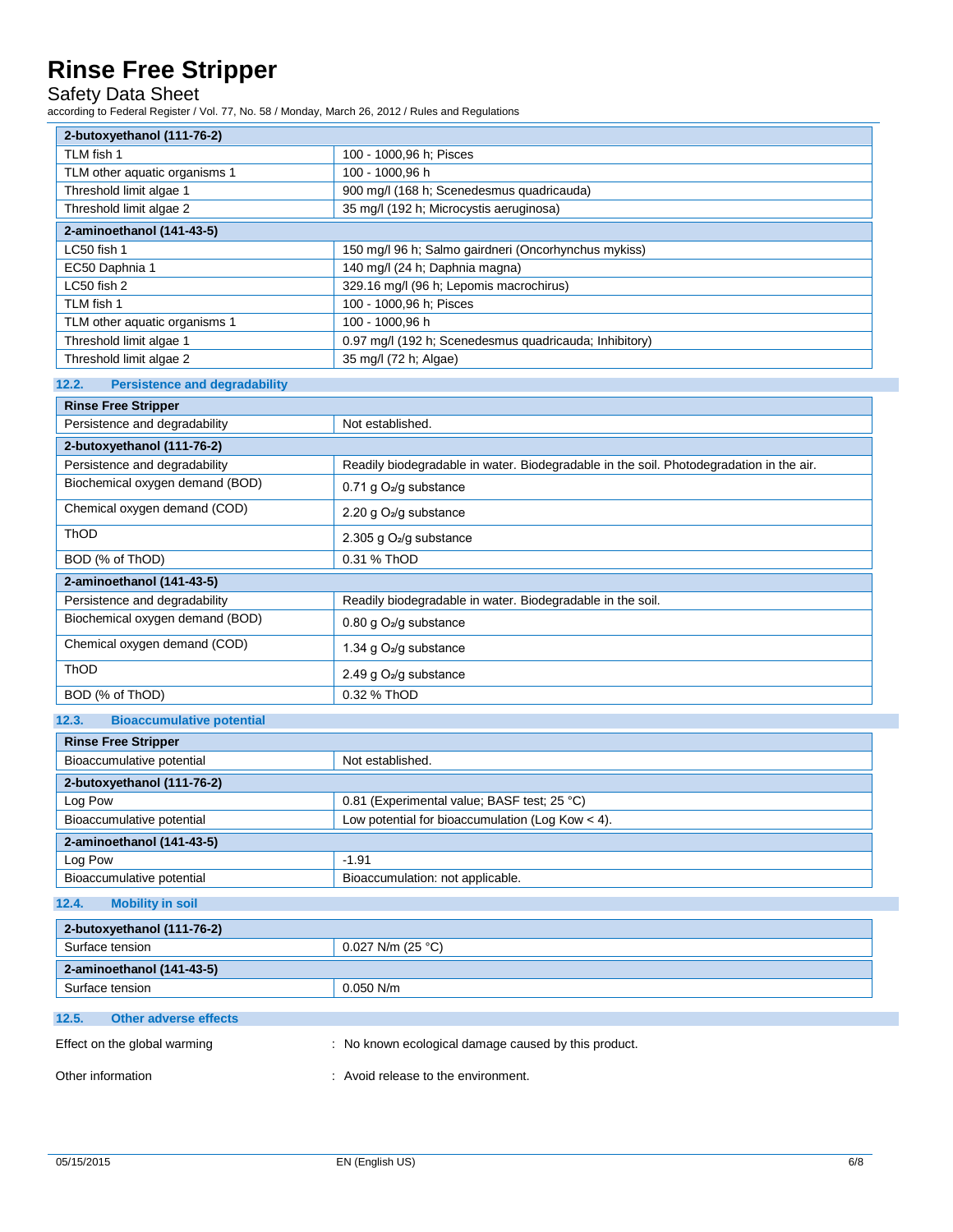Safety Data Sheet

according to Federal Register / Vol. 77, No. 58 / Monday, March 26, 2012 / Rules and Regulations

| 2-butoxyethanol (111-76-2)                    |                                                                                         |  |
|-----------------------------------------------|-----------------------------------------------------------------------------------------|--|
| TLM fish 1                                    | 100 - 1000,96 h; Pisces                                                                 |  |
| TLM other aquatic organisms 1                 | 100 - 1000,96 h                                                                         |  |
| Threshold limit algae 1                       | 900 mg/l (168 h; Scenedesmus quadricauda)                                               |  |
| Threshold limit algae 2                       | 35 mg/l (192 h; Microcystis aeruginosa)                                                 |  |
| 2-aminoethanol (141-43-5)                     |                                                                                         |  |
| LC50 fish 1                                   | 150 mg/l 96 h; Salmo gairdneri (Oncorhynchus mykiss)                                    |  |
| EC50 Daphnia 1                                | 140 mg/l (24 h; Daphnia magna)                                                          |  |
| LC50 fish 2                                   | 329.16 mg/l (96 h; Lepomis macrochirus)                                                 |  |
| TLM fish 1                                    | 100 - 1000,96 h; Pisces                                                                 |  |
| TLM other aquatic organisms 1                 | 100 - 1000,96 h                                                                         |  |
| Threshold limit algae 1                       | 0.97 mg/l (192 h; Scenedesmus quadricauda; Inhibitory)                                  |  |
| Threshold limit algae 2                       | 35 mg/l (72 h; Algae)                                                                   |  |
| 12.2.<br><b>Persistence and degradability</b> |                                                                                         |  |
| <b>Rinse Free Stripper</b>                    |                                                                                         |  |
| Persistence and degradability                 | Not established.                                                                        |  |
| 2-butoxyethanol (111-76-2)                    |                                                                                         |  |
| Persistence and degradability                 | Readily biodegradable in water. Biodegradable in the soil. Photodegradation in the air. |  |
| Biochemical oxygen demand (BOD)               | 0.71 g O <sub>2</sub> /g substance                                                      |  |
| Chemical oxygen demand (COD)                  | 2.20 g O <sub>2</sub> /g substance                                                      |  |
| ThOD                                          | 2.305 g O <sub>2</sub> /g substance                                                     |  |
| BOD (% of ThOD)                               | 0.31 % ThOD                                                                             |  |
| 2-aminoethanol (141-43-5)                     |                                                                                         |  |
| Persistence and degradability                 | Readily biodegradable in water. Biodegradable in the soil.                              |  |
| Biochemical oxygen demand (BOD)               | 0.80 g O <sub>2</sub> /g substance                                                      |  |
| Chemical oxygen demand (COD)                  | 1.34 g O <sub>2</sub> /g substance                                                      |  |
| ThOD                                          | 2.49 g O <sub>2</sub> /g substance                                                      |  |
| BOD (% of ThOD)                               | 0.32 % ThOD                                                                             |  |
| 12.3.<br><b>Bioaccumulative potential</b>     |                                                                                         |  |
| <b>Rinse Free Stripper</b>                    |                                                                                         |  |
| Bioaccumulative potential                     | Not established.                                                                        |  |
| 2-butoxyethanol (111-76-2)                    |                                                                                         |  |
| Log Pow                                       | 0.81 (Experimental value; BASF test; 25 °C)                                             |  |
| Bioaccumulative potential                     | Low potential for bioaccumulation (Log Kow $<$ 4).                                      |  |
| 2-aminoethanol (141-43-5)                     |                                                                                         |  |
| Log Pow                                       | $-1.91$                                                                                 |  |
| Bioaccumulative potential                     | Bioaccumulation: not applicable.                                                        |  |
| 12.4.<br><b>Mobility in soil</b>              |                                                                                         |  |
|                                               |                                                                                         |  |
| 2-butoxyethanol (111-76-2)<br>Surface tension | 0.027 N/m (25 °C)                                                                       |  |
|                                               |                                                                                         |  |
| 2-aminoethanol (141-43-5)                     |                                                                                         |  |
| Surface tension                               | 0.050 N/m                                                                               |  |
| 12.5.<br><b>Other adverse effects</b>         |                                                                                         |  |
| Effect on the global warming                  | : No known ecological damage caused by this product.                                    |  |
| Other information                             | : Avoid release to the environment.                                                     |  |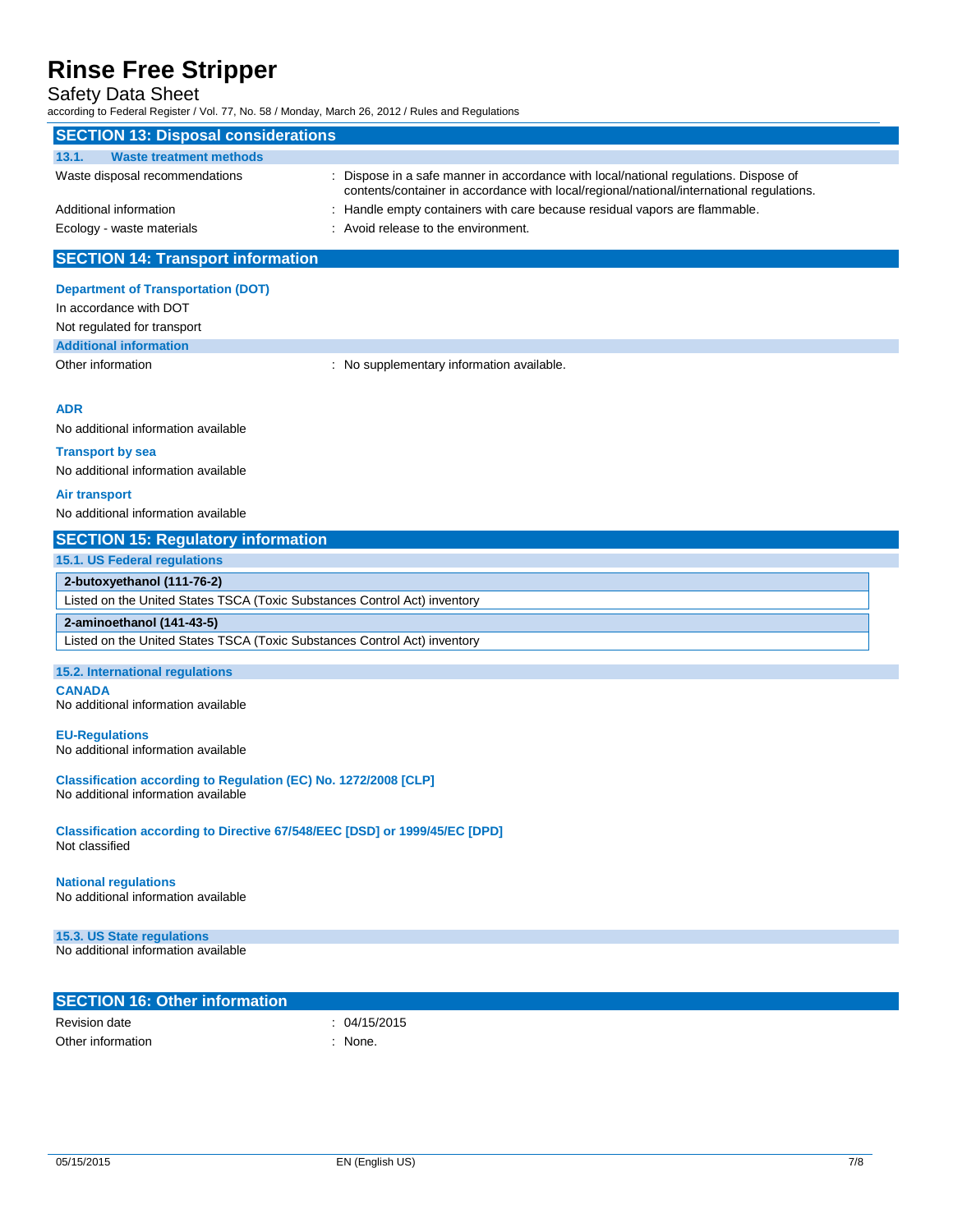### Safety Data Sheet

according to Federal Register / Vol. 77, No. 58 / Monday, March 26, 2012 / Rules and Regulations

| according to Federal Kegister / Vol. 77, No. 307 Monday, March 20, 2012 / Kules and Regulations |                                                                                                                                                                                |
|-------------------------------------------------------------------------------------------------|--------------------------------------------------------------------------------------------------------------------------------------------------------------------------------|
| <b>SECTION 13: Disposal considerations</b>                                                      |                                                                                                                                                                                |
| 13.1.<br><b>Waste treatment methods</b>                                                         |                                                                                                                                                                                |
| Waste disposal recommendations                                                                  | Dispose in a safe manner in accordance with local/national regulations. Dispose of<br>contents/container in accordance with local/regional/national/international regulations. |
| Additional information                                                                          | : Handle empty containers with care because residual vapors are flammable.                                                                                                     |
| Ecology - waste materials                                                                       | : Avoid release to the environment.                                                                                                                                            |
| <b>SECTION 14: Transport information</b>                                                        |                                                                                                                                                                                |
|                                                                                                 |                                                                                                                                                                                |
| <b>Department of Transportation (DOT)</b>                                                       |                                                                                                                                                                                |
| In accordance with DOT                                                                          |                                                                                                                                                                                |
| Not regulated for transport                                                                     |                                                                                                                                                                                |
| <b>Additional information</b>                                                                   |                                                                                                                                                                                |
| Other information                                                                               | : No supplementary information available.                                                                                                                                      |
|                                                                                                 |                                                                                                                                                                                |
| <b>ADR</b>                                                                                      |                                                                                                                                                                                |
| No additional information available                                                             |                                                                                                                                                                                |
| <b>Transport by sea</b>                                                                         |                                                                                                                                                                                |
| No additional information available                                                             |                                                                                                                                                                                |
|                                                                                                 |                                                                                                                                                                                |
| Air transport                                                                                   |                                                                                                                                                                                |
| No additional information available                                                             |                                                                                                                                                                                |
| <b>SECTION 15: Regulatory information</b>                                                       |                                                                                                                                                                                |
| <b>15.1. US Federal regulations</b>                                                             |                                                                                                                                                                                |
| 2-butoxyethanol (111-76-2)                                                                      |                                                                                                                                                                                |
| Listed on the United States TSCA (Toxic Substances Control Act) inventory                       |                                                                                                                                                                                |
| 2-aminoethanol (141-43-5)                                                                       |                                                                                                                                                                                |
| Listed on the United States TSCA (Toxic Substances Control Act) inventory                       |                                                                                                                                                                                |
|                                                                                                 |                                                                                                                                                                                |
| 15.2. International regulations                                                                 |                                                                                                                                                                                |
| <b>CANADA</b><br>No additional information available                                            |                                                                                                                                                                                |
|                                                                                                 |                                                                                                                                                                                |
| <b>EU-Regulations</b>                                                                           |                                                                                                                                                                                |
| No additional information available                                                             |                                                                                                                                                                                |
| Classification according to Regulation (EC) No. 1272/2008 [CLP]                                 |                                                                                                                                                                                |
| No additional information available                                                             |                                                                                                                                                                                |
|                                                                                                 |                                                                                                                                                                                |
| Classification according to Directive 67/548/EEC [DSD] or 1999/45/EC [DPD]                      |                                                                                                                                                                                |
| Not classified                                                                                  |                                                                                                                                                                                |
|                                                                                                 |                                                                                                                                                                                |
| <b>National regulations</b><br>No additional information available                              |                                                                                                                                                                                |
|                                                                                                 |                                                                                                                                                                                |
| 15.3. US State regulations                                                                      |                                                                                                                                                                                |
| No additional information available                                                             |                                                                                                                                                                                |
|                                                                                                 |                                                                                                                                                                                |
|                                                                                                 |                                                                                                                                                                                |
| <b>SECTION 16: Other information</b>                                                            |                                                                                                                                                                                |
| <b>Revision date</b>                                                                            | : 04/15/2015                                                                                                                                                                   |
| Other information                                                                               | : None.                                                                                                                                                                        |
|                                                                                                 |                                                                                                                                                                                |